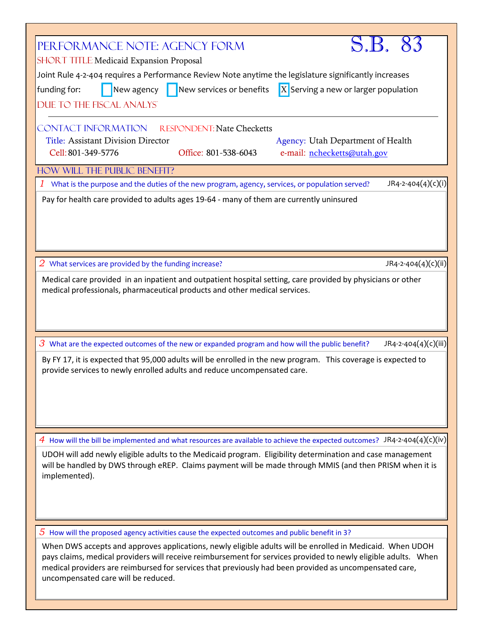| S.B. 83<br>PERFORMANCE NOTE: AGENCY FORM<br><b>SHORT TITLE Medicaid Expansion Proposal</b>                                                                                                                                                                                                                                                                                   |  |  |
|------------------------------------------------------------------------------------------------------------------------------------------------------------------------------------------------------------------------------------------------------------------------------------------------------------------------------------------------------------------------------|--|--|
| Joint Rule 4-2-404 requires a Performance Review Note anytime the legislature significantly increases                                                                                                                                                                                                                                                                        |  |  |
| New agency New services or benefits<br>$X$ Serving a new or larger population<br>funding for:                                                                                                                                                                                                                                                                                |  |  |
| DUE TO THE FISCAL ANALYST                                                                                                                                                                                                                                                                                                                                                    |  |  |
|                                                                                                                                                                                                                                                                                                                                                                              |  |  |
| <b>CONTACT INFORMATION</b><br><b>RESPONDENT: Nate Checketts</b>                                                                                                                                                                                                                                                                                                              |  |  |
| <b>Title: Assistant Division Director</b><br>Agency: Utah Department of Health                                                                                                                                                                                                                                                                                               |  |  |
| Cell: 801-349-5776<br>Office: 801-538-6043<br>e-mail: nchecketts@utah.gov                                                                                                                                                                                                                                                                                                    |  |  |
|                                                                                                                                                                                                                                                                                                                                                                              |  |  |
| HOW WILL THE PUBLIC BENEFIT?                                                                                                                                                                                                                                                                                                                                                 |  |  |
| $JR4-2-404(4)(c)(i)$<br>What is the purpose and the duties of the new program, agency, services, or population served?                                                                                                                                                                                                                                                       |  |  |
| Pay for health care provided to adults ages 19-64 - many of them are currently uninsured                                                                                                                                                                                                                                                                                     |  |  |
| JR4-2-404(4)(c)(ii)<br>$2$ What services are provided by the funding increase?                                                                                                                                                                                                                                                                                               |  |  |
|                                                                                                                                                                                                                                                                                                                                                                              |  |  |
| Medical care provided in an inpatient and outpatient hospital setting, care provided by physicians or other                                                                                                                                                                                                                                                                  |  |  |
| medical professionals, pharmaceutical products and other medical services.                                                                                                                                                                                                                                                                                                   |  |  |
|                                                                                                                                                                                                                                                                                                                                                                              |  |  |
|                                                                                                                                                                                                                                                                                                                                                                              |  |  |
|                                                                                                                                                                                                                                                                                                                                                                              |  |  |
| $\overline{3}$ What are the expected outcomes of the new or expanded program and how will the public benefit?<br>JR4-2-404(4)(c)(iii)                                                                                                                                                                                                                                        |  |  |
| By FY 17, it is expected that 95,000 adults will be enrolled in the new program. This coverage is expected to<br>provide services to newly enrolled adults and reduce uncompensated care.                                                                                                                                                                                    |  |  |
|                                                                                                                                                                                                                                                                                                                                                                              |  |  |
| 4 How will the bill be implemented and what resources are available to achieve the expected outcomes? JR4-2-404(4)(c)(iv)                                                                                                                                                                                                                                                    |  |  |
| UDOH will add newly eligible adults to the Medicaid program. Eligibility determination and case management<br>will be handled by DWS through eREP. Claims payment will be made through MMIS (and then PRISM when it is<br>implemented).                                                                                                                                      |  |  |
| $5$ How will the proposed agency activities cause the expected outcomes and public benefit in 3?                                                                                                                                                                                                                                                                             |  |  |
|                                                                                                                                                                                                                                                                                                                                                                              |  |  |
| When DWS accepts and approves applications, newly eligible adults will be enrolled in Medicaid. When UDOH<br>pays claims, medical providers will receive reimbursement for services provided to newly eligible adults. When<br>medical providers are reimbursed for services that previously had been provided as uncompensated care,<br>uncompensated care will be reduced. |  |  |